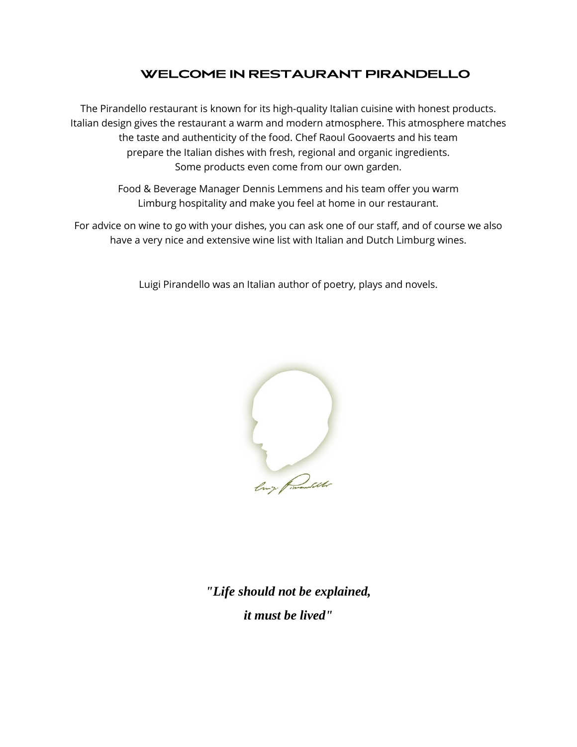# **WELCOME IN RESTAURANT PIRANDELLO**

The Pirandello restaurant is known for its high-quality Italian cuisine with honest products. Italian design gives the restaurant a warm and modern atmosphere. This atmosphere matches the taste and authenticity of the food. Chef Raoul Goovaerts and his team prepare the Italian dishes with fresh, regional and organic ingredients. Some products even come from our own garden.

> Food & Beverage Manager Dennis Lemmens and his team offer you warm Limburg hospitality and make you feel at home in our restaurant.

For advice on wine to go with your dishes, you can ask one of our staff, and of course we also have a very nice and extensive wine list with Italian and Dutch Limburg wines.

Luigi Pirandello was an Italian author of poetry, plays and novels.



*"Life should not be explained, it must be lived"*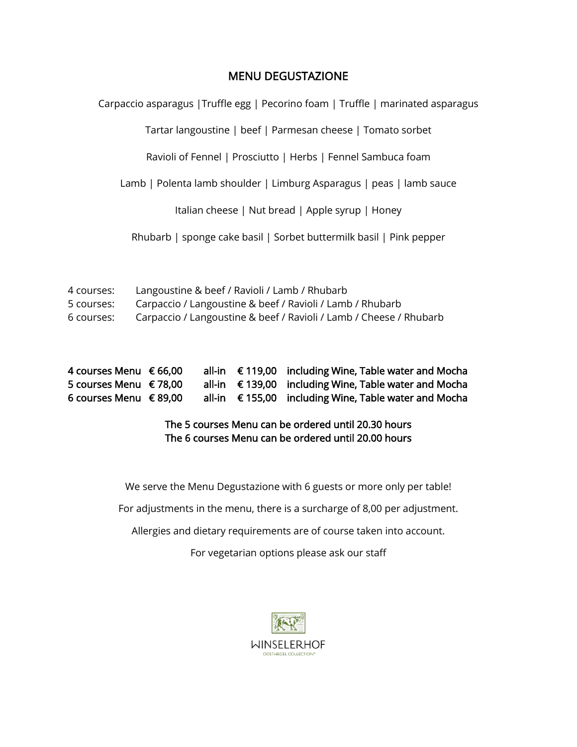## MENU DEGUSTAZIONE

Carpaccio asparagus |Truffle egg | Pecorino foam | Truffle | marinated asparagus

Tartar langoustine | beef | Parmesan cheese | Tomato sorbet

Ravioli of Fennel | Prosciutto | Herbs | Fennel Sambuca foam

Lamb | Polenta lamb shoulder | Limburg Asparagus | peas | lamb sauce

Italian cheese | Nut bread | Apple syrup | Honey

Rhubarb | sponge cake basil | Sorbet buttermilk basil | Pink pepper

| 4 courses: | Langoustine & beef / Ravioli / Lamb / Rhubarb                      |
|------------|--------------------------------------------------------------------|
| 5 courses: | Carpaccio / Langoustine & beef / Ravioli / Lamb / Rhubarb          |
| 6 courses: | Carpaccio / Langoustine & beef / Ravioli / Lamb / Cheese / Rhubarb |

| 4 courses Menu $\epsilon$ 66,00 |  | all-in € 119,00 including Wine, Table water and Mocha          |
|---------------------------------|--|----------------------------------------------------------------|
| 5 courses Menu € 78.00          |  | all-in $\epsilon$ 139,00 including Wine, Table water and Mocha |
| 6 courses Menu € 89,00          |  | all-in $\epsilon$ 155,00 including Wine, Table water and Mocha |

### The 5 courses Menu can be ordered until 20.30 hours The 6 courses Menu can be ordered until 20.00 hours

We serve the Menu Degustazione with 6 guests or more only per table!

For adjustments in the menu, there is a surcharge of 8,00 per adjustment.

Allergies and dietary requirements are of course taken into account.

For vegetarian options please ask our staff

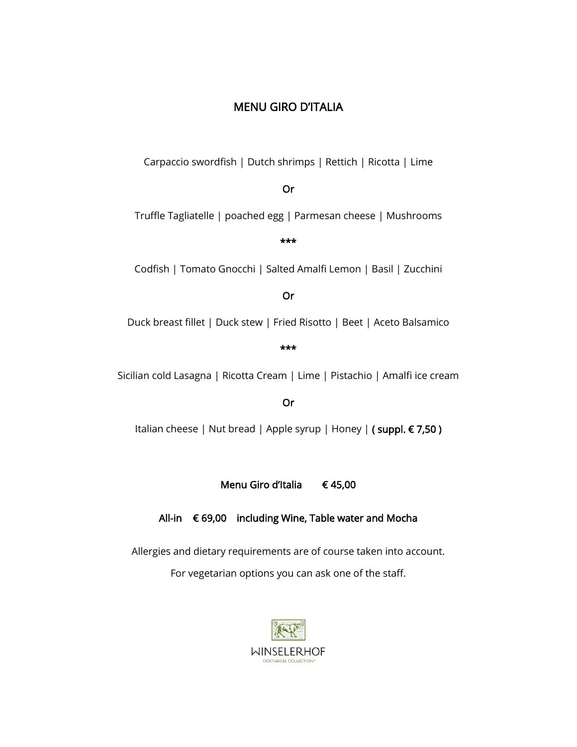# MENU GIRO D'ITALIA

Carpaccio swordfish | Dutch shrimps | Rettich | Ricotta | Lime

### Or

Truffle Tagliatelle | poached egg | Parmesan cheese | Mushrooms

#### \*\*\*

Codfish | Tomato Gnocchi | Salted Amalfi Lemon | Basil | Zucchini

#### Or

Duck breast fillet | Duck stew | Fried Risotto | Beet | Aceto Balsamico

\*\*\*

Sicilian cold Lasagna | Ricotta Cream | Lime | Pistachio | Amalfi ice cream

#### Or

Italian cheese | Nut bread | Apple syrup | Honey | (suppl. € 7,50)

Menu Giro d'Italia € 45,00

## All-in € 69,00 including Wine, Table water and Mocha

Allergies and dietary requirements are of course taken into account.

For vegetarian options you can ask one of the staff.